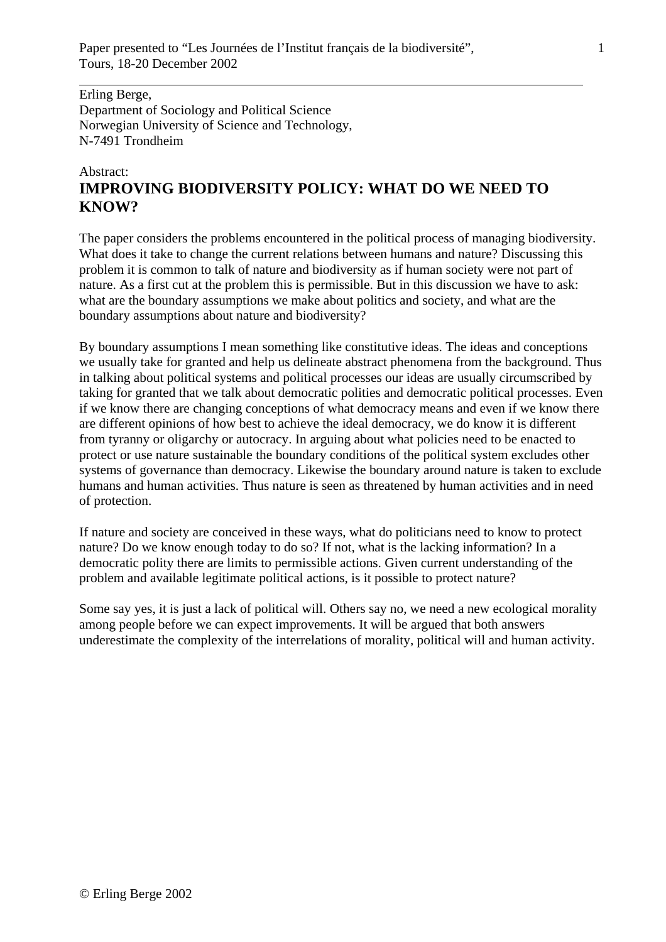Erling Berge, Department of Sociology and Political Science Norwegian University of Science and Technology, N-7491 Trondheim

 $\overline{a}$ 

## Abstract: **IMPROVING BIODIVERSITY POLICY: WHAT DO WE NEED TO KNOW?**

The paper considers the problems encountered in the political process of managing biodiversity. What does it take to change the current relations between humans and nature? Discussing this problem it is common to talk of nature and biodiversity as if human society were not part of nature. As a first cut at the problem this is permissible. But in this discussion we have to ask: what are the boundary assumptions we make about politics and society, and what are the boundary assumptions about nature and biodiversity?

By boundary assumptions I mean something like constitutive ideas. The ideas and conceptions we usually take for granted and help us delineate abstract phenomena from the background. Thus in talking about political systems and political processes our ideas are usually circumscribed by taking for granted that we talk about democratic polities and democratic political processes. Even if we know there are changing conceptions of what democracy means and even if we know there are different opinions of how best to achieve the ideal democracy, we do know it is different from tyranny or oligarchy or autocracy. In arguing about what policies need to be enacted to protect or use nature sustainable the boundary conditions of the political system excludes other systems of governance than democracy. Likewise the boundary around nature is taken to exclude humans and human activities. Thus nature is seen as threatened by human activities and in need of protection.

If nature and society are conceived in these ways, what do politicians need to know to protect nature? Do we know enough today to do so? If not, what is the lacking information? In a democratic polity there are limits to permissible actions. Given current understanding of the problem and available legitimate political actions, is it possible to protect nature?

Some say yes, it is just a lack of political will. Others say no, we need a new ecological morality among people before we can expect improvements. It will be argued that both answers underestimate the complexity of the interrelations of morality, political will and human activity.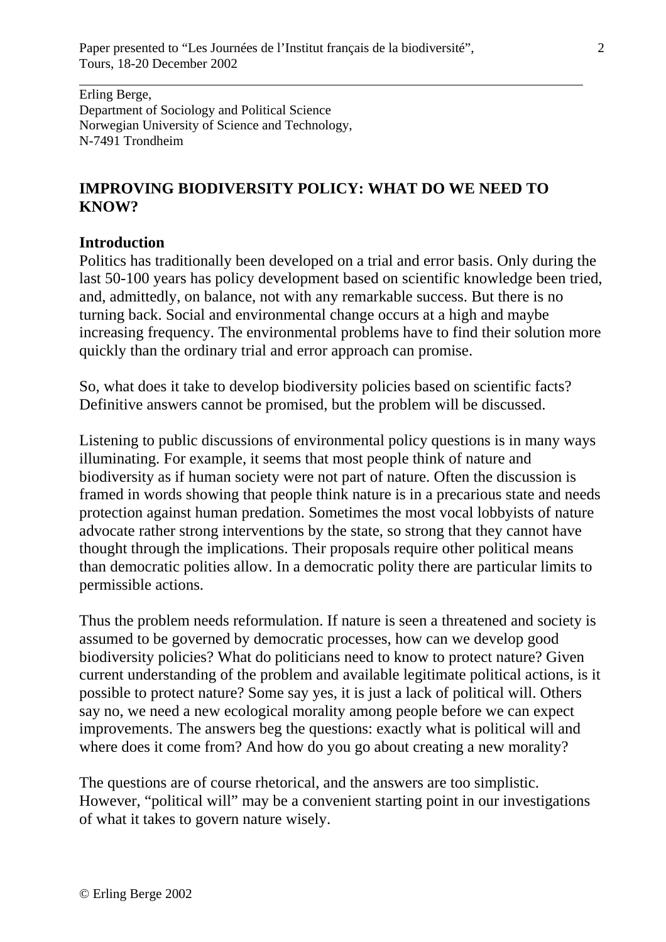Erling Berge, Department of Sociology and Political Science Norwegian University of Science and Technology, N-7491 Trondheim

# **IMPROVING BIODIVERSITY POLICY: WHAT DO WE NEED TO KNOW?**

## **Introduction**

 $\overline{a}$ 

Politics has traditionally been developed on a trial and error basis. Only during the last 50-100 years has policy development based on scientific knowledge been tried, and, admittedly, on balance, not with any remarkable success. But there is no turning back. Social and environmental change occurs at a high and maybe increasing frequency. The environmental problems have to find their solution more quickly than the ordinary trial and error approach can promise.

So, what does it take to develop biodiversity policies based on scientific facts? Definitive answers cannot be promised, but the problem will be discussed.

Listening to public discussions of environmental policy questions is in many ways illuminating. For example, it seems that most people think of nature and biodiversity as if human society were not part of nature. Often the discussion is framed in words showing that people think nature is in a precarious state and needs protection against human predation. Sometimes the most vocal lobbyists of nature advocate rather strong interventions by the state, so strong that they cannot have thought through the implications. Their proposals require other political means than democratic polities allow. In a democratic polity there are particular limits to permissible actions.

Thus the problem needs reformulation. If nature is seen a threatened and society is assumed to be governed by democratic processes, how can we develop good biodiversity policies? What do politicians need to know to protect nature? Given current understanding of the problem and available legitimate political actions, is it possible to protect nature? Some say yes, it is just a lack of political will. Others say no, we need a new ecological morality among people before we can expect improvements. The answers beg the questions: exactly what is political will and where does it come from? And how do you go about creating a new morality?

The questions are of course rhetorical, and the answers are too simplistic. However, "political will" may be a convenient starting point in our investigations of what it takes to govern nature wisely.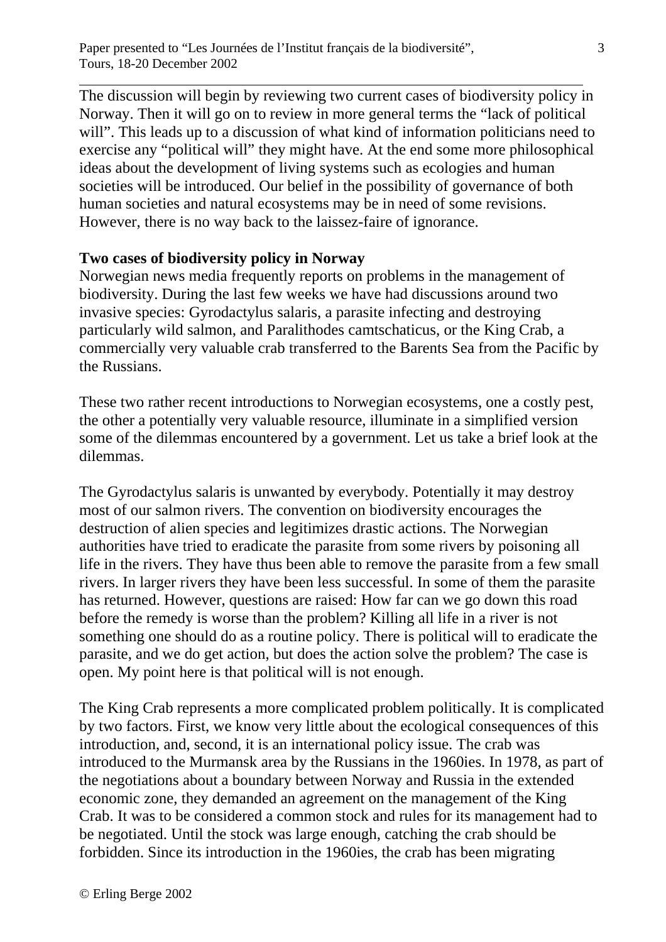The discussion will begin by reviewing two current cases of biodiversity policy in Norway. Then it will go on to review in more general terms the "lack of political will". This leads up to a discussion of what kind of information politicians need to exercise any "political will" they might have. At the end some more philosophical ideas about the development of living systems such as ecologies and human societies will be introduced. Our belief in the possibility of governance of both human societies and natural ecosystems may be in need of some revisions. However, there is no way back to the laissez-faire of ignorance.

#### **Two cases of biodiversity policy in Norway**

 $\overline{a}$ 

Norwegian news media frequently reports on problems in the management of biodiversity. During the last few weeks we have had discussions around two invasive species: Gyrodactylus salaris, a parasite infecting and destroying particularly wild salmon, and Paralithodes camtschaticus, or the King Crab, a commercially very valuable crab transferred to the Barents Sea from the Pacific by the Russians.

These two rather recent introductions to Norwegian ecosystems, one a costly pest, the other a potentially very valuable resource, illuminate in a simplified version some of the dilemmas encountered by a government. Let us take a brief look at the dilemmas.

The Gyrodactylus salaris is unwanted by everybody. Potentially it may destroy most of our salmon rivers. The convention on biodiversity encourages the destruction of alien species and legitimizes drastic actions. The Norwegian authorities have tried to eradicate the parasite from some rivers by poisoning all life in the rivers. They have thus been able to remove the parasite from a few small rivers. In larger rivers they have been less successful. In some of them the parasite has returned. However, questions are raised: How far can we go down this road before the remedy is worse than the problem? Killing all life in a river is not something one should do as a routine policy. There is political will to eradicate the parasite, and we do get action, but does the action solve the problem? The case is open. My point here is that political will is not enough.

The King Crab represents a more complicated problem politically. It is complicated by two factors. First, we know very little about the ecological consequences of this introduction, and, second, it is an international policy issue. The crab was introduced to the Murmansk area by the Russians in the 1960ies. In 1978, as part of the negotiations about a boundary between Norway and Russia in the extended economic zone, they demanded an agreement on the management of the King Crab. It was to be considered a common stock and rules for its management had to be negotiated. Until the stock was large enough, catching the crab should be forbidden. Since its introduction in the 1960ies, the crab has been migrating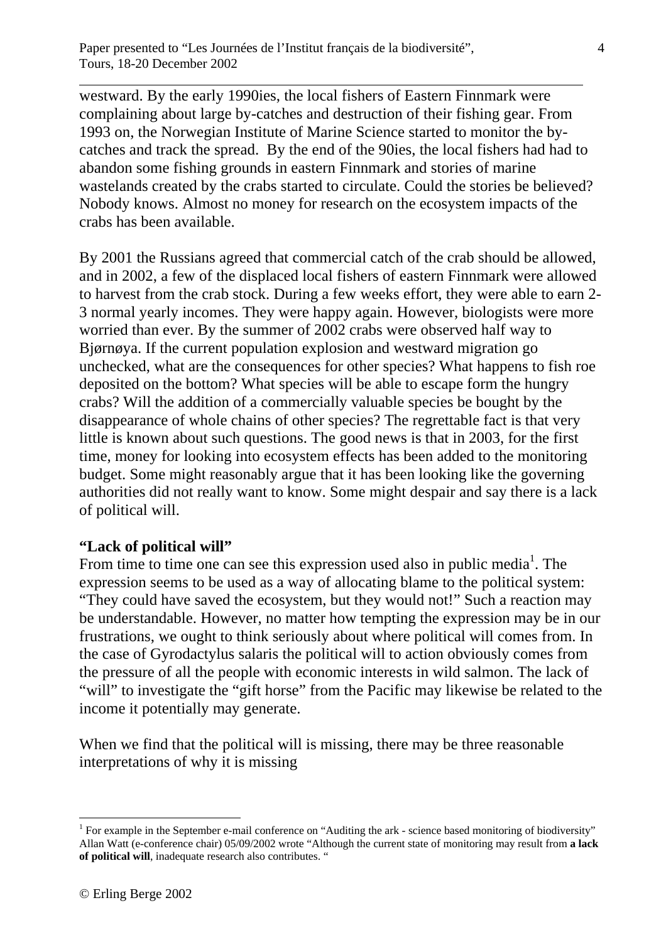westward. By the early 1990ies, the local fishers of Eastern Finnmark were complaining about large by-catches and destruction of their fishing gear. From 1993 on, the Norwegian Institute of Marine Science started to monitor the bycatches and track the spread. By the end of the 90ies, the local fishers had had to abandon some fishing grounds in eastern Finnmark and stories of marine wastelands created by the crabs started to circulate. Could the stories be believed? Nobody knows. Almost no money for research on the ecosystem impacts of the crabs has been available.

By 2001 the Russians agreed that commercial catch of the crab should be allowed, and in 2002, a few of the displaced local fishers of eastern Finnmark were allowed to harvest from the crab stock. During a few weeks effort, they were able to earn 2- 3 normal yearly incomes. They were happy again. However, biologists were more worried than ever. By the summer of 2002 crabs were observed half way to Bjørnøya. If the current population explosion and westward migration go unchecked, what are the consequences for other species? What happens to fish roe deposited on the bottom? What species will be able to escape form the hungry crabs? Will the addition of a commercially valuable species be bought by the disappearance of whole chains of other species? The regrettable fact is that very little is known about such questions. The good news is that in 2003, for the first time, money for looking into ecosystem effects has been added to the monitoring budget. Some might reasonably argue that it has been looking like the governing authorities did not really want to know. Some might despair and say there is a lack of political will.

#### **"Lack of political will"**

 $\overline{a}$ 

From time to time one can see this expression used also in public media<sup>1</sup>. The expression seems to be used as a way of allocating blame to the political system: "They could have saved the ecosystem, but they would not!" Such a reaction may be understandable. However, no matter how tempting the expression may be in our frustrations, we ought to think seriously about where political will comes from. In the case of Gyrodactylus salaris the political will to action obviously comes from the pressure of all the people with economic interests in wild salmon. The lack of "will" to investigate the "gift horse" from the Pacific may likewise be related to the income it potentially may generate.

When we find that the political will is missing, there may be three reasonable interpretations of why it is missing

1

<sup>&</sup>lt;sup>1</sup> For example in the September e-mail conference on "Auditing the ark - science based monitoring of biodiversity" Allan Watt (e-conference chair) 05/09/2002 wrote "Although the current state of monitoring may result from **a lack of political will**, inadequate research also contributes. "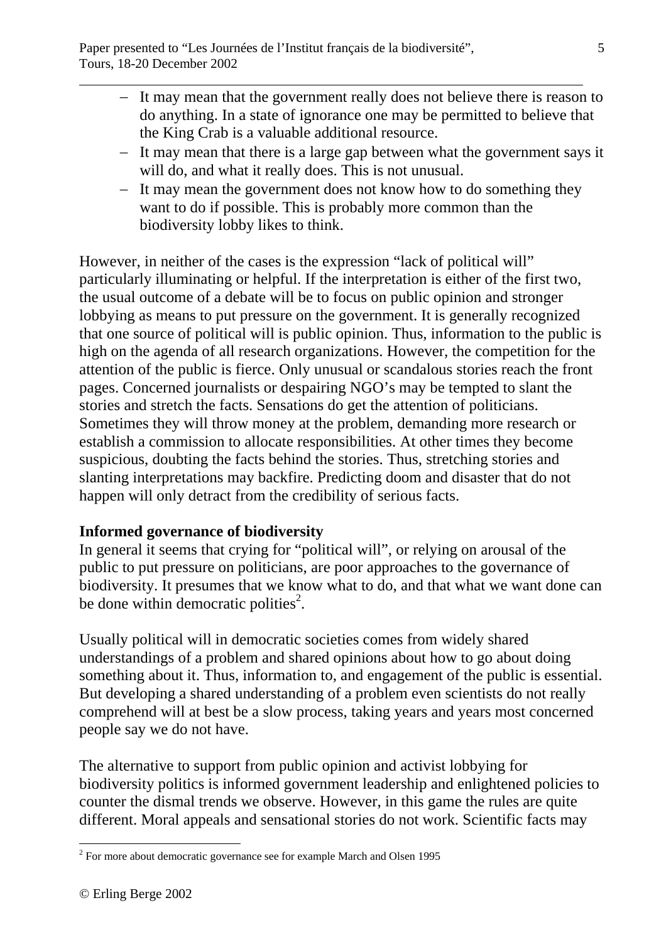- − It may mean that the government really does not believe there is reason to do anything. In a state of ignorance one may be permitted to believe that the King Crab is a valuable additional resource.
- − It may mean that there is a large gap between what the government says it will do, and what it really does. This is not unusual.
- − It may mean the government does not know how to do something they want to do if possible. This is probably more common than the biodiversity lobby likes to think.

However, in neither of the cases is the expression "lack of political will" particularly illuminating or helpful. If the interpretation is either of the first two, the usual outcome of a debate will be to focus on public opinion and stronger lobbying as means to put pressure on the government. It is generally recognized that one source of political will is public opinion. Thus, information to the public is high on the agenda of all research organizations. However, the competition for the attention of the public is fierce. Only unusual or scandalous stories reach the front pages. Concerned journalists or despairing NGO's may be tempted to slant the stories and stretch the facts. Sensations do get the attention of politicians. Sometimes they will throw money at the problem, demanding more research or establish a commission to allocate responsibilities. At other times they become suspicious, doubting the facts behind the stories. Thus, stretching stories and slanting interpretations may backfire. Predicting doom and disaster that do not happen will only detract from the credibility of serious facts.

# **Informed governance of biodiversity**

In general it seems that crying for "political will", or relying on arousal of the public to put pressure on politicians, are poor approaches to the governance of biodiversity. It presumes that we know what to do, and that what we want done can be done within democratic polities<sup>2</sup>.

Usually political will in democratic societies comes from widely shared understandings of a problem and shared opinions about how to go about doing something about it. Thus, information to, and engagement of the public is essential. But developing a shared understanding of a problem even scientists do not really comprehend will at best be a slow process, taking years and years most concerned people say we do not have.

The alternative to support from public opinion and activist lobbying for biodiversity politics is informed government leadership and enlightened policies to counter the dismal trends we observe. However, in this game the rules are quite different. Moral appeals and sensational stories do not work. Scientific facts may

<sup>&</sup>lt;sup>2</sup> For more about democratic governance see for example March and Olsen 1995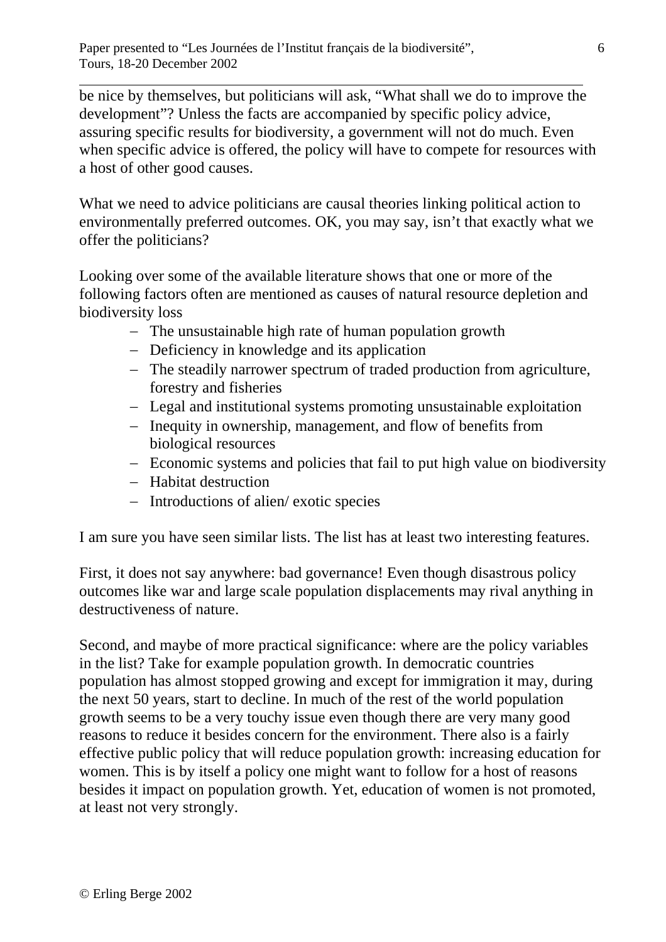be nice by themselves, but politicians will ask, "What shall we do to improve the development"? Unless the facts are accompanied by specific policy advice, assuring specific results for biodiversity, a government will not do much. Even when specific advice is offered, the policy will have to compete for resources with a host of other good causes.

What we need to advice politicians are causal theories linking political action to environmentally preferred outcomes. OK, you may say, isn't that exactly what we offer the politicians?

Looking over some of the available literature shows that one or more of the following factors often are mentioned as causes of natural resource depletion and biodiversity loss

- − The unsustainable high rate of human population growth
- − Deficiency in knowledge and its application
- − The steadily narrower spectrum of traded production from agriculture, forestry and fisheries
- − Legal and institutional systems promoting unsustainable exploitation
- − Inequity in ownership, management, and flow of benefits from biological resources
- − Economic systems and policies that fail to put high value on biodiversity
- − Habitat destruction
- − Introductions of alien/ exotic species

I am sure you have seen similar lists. The list has at least two interesting features.

First, it does not say anywhere: bad governance! Even though disastrous policy outcomes like war and large scale population displacements may rival anything in destructiveness of nature.

Second, and maybe of more practical significance: where are the policy variables in the list? Take for example population growth. In democratic countries population has almost stopped growing and except for immigration it may, during the next 50 years, start to decline. In much of the rest of the world population growth seems to be a very touchy issue even though there are very many good reasons to reduce it besides concern for the environment. There also is a fairly effective public policy that will reduce population growth: increasing education for women. This is by itself a policy one might want to follow for a host of reasons besides it impact on population growth. Yet, education of women is not promoted, at least not very strongly.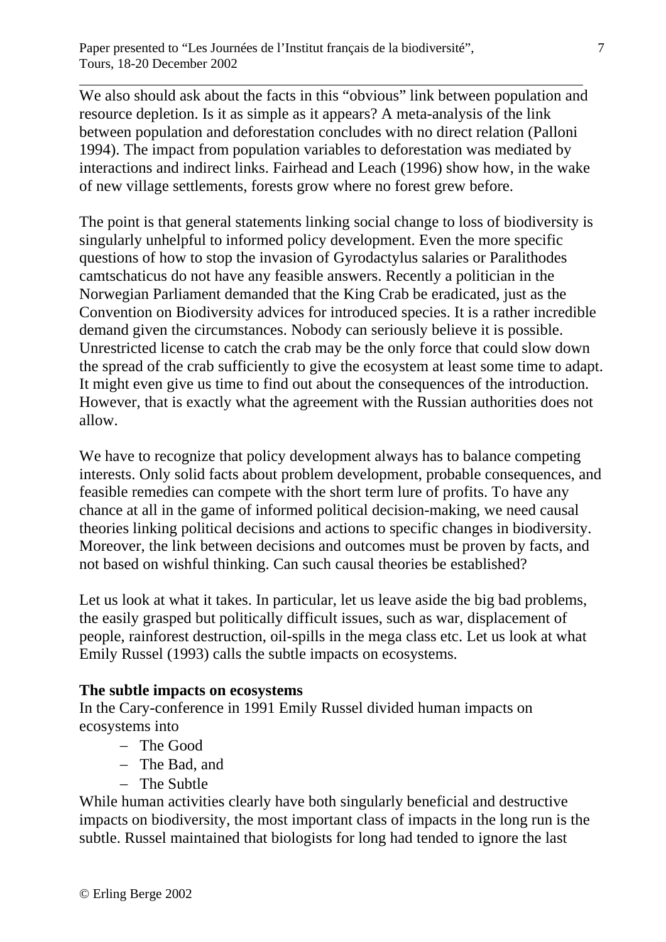We also should ask about the facts in this "obvious" link between population and resource depletion. Is it as simple as it appears? A meta-analysis of the link between population and deforestation concludes with no direct relation (Palloni 1994). The impact from population variables to deforestation was mediated by interactions and indirect links. Fairhead and Leach (1996) show how, in the wake of new village settlements, forests grow where no forest grew before.

The point is that general statements linking social change to loss of biodiversity is singularly unhelpful to informed policy development. Even the more specific questions of how to stop the invasion of Gyrodactylus salaries or Paralithodes camtschaticus do not have any feasible answers. Recently a politician in the Norwegian Parliament demanded that the King Crab be eradicated, just as the Convention on Biodiversity advices for introduced species. It is a rather incredible demand given the circumstances. Nobody can seriously believe it is possible. Unrestricted license to catch the crab may be the only force that could slow down the spread of the crab sufficiently to give the ecosystem at least some time to adapt. It might even give us time to find out about the consequences of the introduction. However, that is exactly what the agreement with the Russian authorities does not allow.

We have to recognize that policy development always has to balance competing interests. Only solid facts about problem development, probable consequences, and feasible remedies can compete with the short term lure of profits. To have any chance at all in the game of informed political decision-making, we need causal theories linking political decisions and actions to specific changes in biodiversity. Moreover, the link between decisions and outcomes must be proven by facts, and not based on wishful thinking. Can such causal theories be established?

Let us look at what it takes. In particular, let us leave aside the big bad problems, the easily grasped but politically difficult issues, such as war, displacement of people, rainforest destruction, oil-spills in the mega class etc. Let us look at what Emily Russel (1993) calls the subtle impacts on ecosystems.

# **The subtle impacts on ecosystems**

In the Cary-conference in 1991 Emily Russel divided human impacts on ecosystems into

- − The Good
- − The Bad, and
- − The Subtle

While human activities clearly have both singularly beneficial and destructive impacts on biodiversity, the most important class of impacts in the long run is the subtle. Russel maintained that biologists for long had tended to ignore the last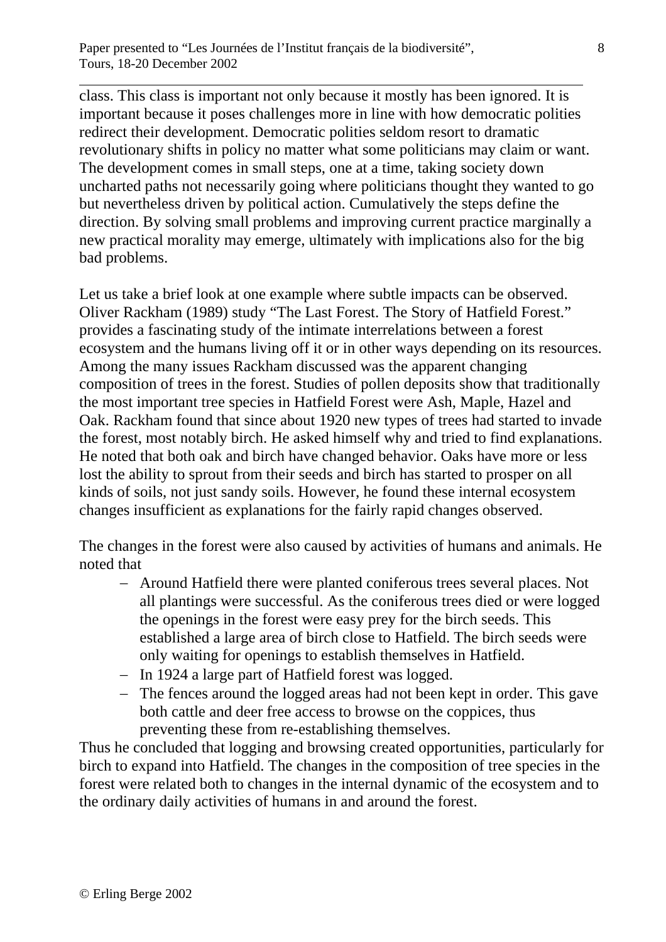class. This class is important not only because it mostly has been ignored. It is important because it poses challenges more in line with how democratic polities redirect their development. Democratic polities seldom resort to dramatic revolutionary shifts in policy no matter what some politicians may claim or want. The development comes in small steps, one at a time, taking society down uncharted paths not necessarily going where politicians thought they wanted to go but nevertheless driven by political action. Cumulatively the steps define the direction. By solving small problems and improving current practice marginally a new practical morality may emerge, ultimately with implications also for the big bad problems.

Let us take a brief look at one example where subtle impacts can be observed. Oliver Rackham (1989) study "The Last Forest. The Story of Hatfield Forest." provides a fascinating study of the intimate interrelations between a forest ecosystem and the humans living off it or in other ways depending on its resources. Among the many issues Rackham discussed was the apparent changing composition of trees in the forest. Studies of pollen deposits show that traditionally the most important tree species in Hatfield Forest were Ash, Maple, Hazel and Oak. Rackham found that since about 1920 new types of trees had started to invade the forest, most notably birch. He asked himself why and tried to find explanations. He noted that both oak and birch have changed behavior. Oaks have more or less lost the ability to sprout from their seeds and birch has started to prosper on all kinds of soils, not just sandy soils. However, he found these internal ecosystem changes insufficient as explanations for the fairly rapid changes observed.

The changes in the forest were also caused by activities of humans and animals. He noted that

- − Around Hatfield there were planted coniferous trees several places. Not all plantings were successful. As the coniferous trees died or were logged the openings in the forest were easy prey for the birch seeds. This established a large area of birch close to Hatfield. The birch seeds were only waiting for openings to establish themselves in Hatfield.
- − In 1924 a large part of Hatfield forest was logged.
- − The fences around the logged areas had not been kept in order. This gave both cattle and deer free access to browse on the coppices, thus preventing these from re-establishing themselves.

Thus he concluded that logging and browsing created opportunities, particularly for birch to expand into Hatfield. The changes in the composition of tree species in the forest were related both to changes in the internal dynamic of the ecosystem and to the ordinary daily activities of humans in and around the forest.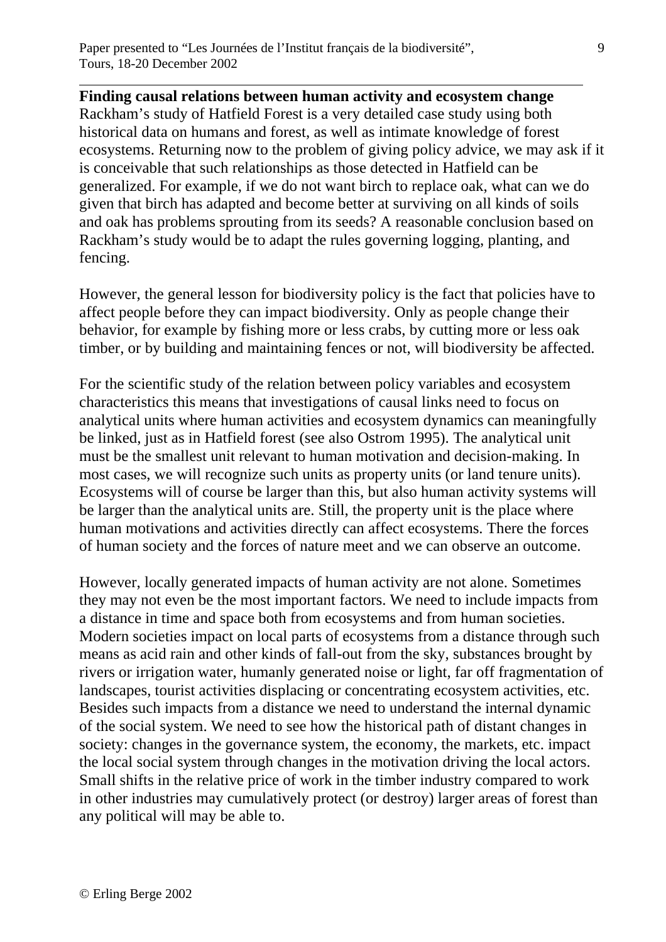**Finding causal relations between human activity and ecosystem change**  Rackham's study of Hatfield Forest is a very detailed case study using both historical data on humans and forest, as well as intimate knowledge of forest ecosystems. Returning now to the problem of giving policy advice, we may ask if it is conceivable that such relationships as those detected in Hatfield can be generalized. For example, if we do not want birch to replace oak, what can we do given that birch has adapted and become better at surviving on all kinds of soils and oak has problems sprouting from its seeds? A reasonable conclusion based on Rackham's study would be to adapt the rules governing logging, planting, and fencing.

However, the general lesson for biodiversity policy is the fact that policies have to affect people before they can impact biodiversity. Only as people change their behavior, for example by fishing more or less crabs, by cutting more or less oak timber, or by building and maintaining fences or not, will biodiversity be affected.

For the scientific study of the relation between policy variables and ecosystem characteristics this means that investigations of causal links need to focus on analytical units where human activities and ecosystem dynamics can meaningfully be linked, just as in Hatfield forest (see also Ostrom 1995). The analytical unit must be the smallest unit relevant to human motivation and decision-making. In most cases, we will recognize such units as property units (or land tenure units). Ecosystems will of course be larger than this, but also human activity systems will be larger than the analytical units are. Still, the property unit is the place where human motivations and activities directly can affect ecosystems. There the forces of human society and the forces of nature meet and we can observe an outcome.

However, locally generated impacts of human activity are not alone. Sometimes they may not even be the most important factors. We need to include impacts from a distance in time and space both from ecosystems and from human societies. Modern societies impact on local parts of ecosystems from a distance through such means as acid rain and other kinds of fall-out from the sky, substances brought by rivers or irrigation water, humanly generated noise or light, far off fragmentation of landscapes, tourist activities displacing or concentrating ecosystem activities, etc. Besides such impacts from a distance we need to understand the internal dynamic of the social system. We need to see how the historical path of distant changes in society: changes in the governance system, the economy, the markets, etc. impact the local social system through changes in the motivation driving the local actors. Small shifts in the relative price of work in the timber industry compared to work in other industries may cumulatively protect (or destroy) larger areas of forest than any political will may be able to.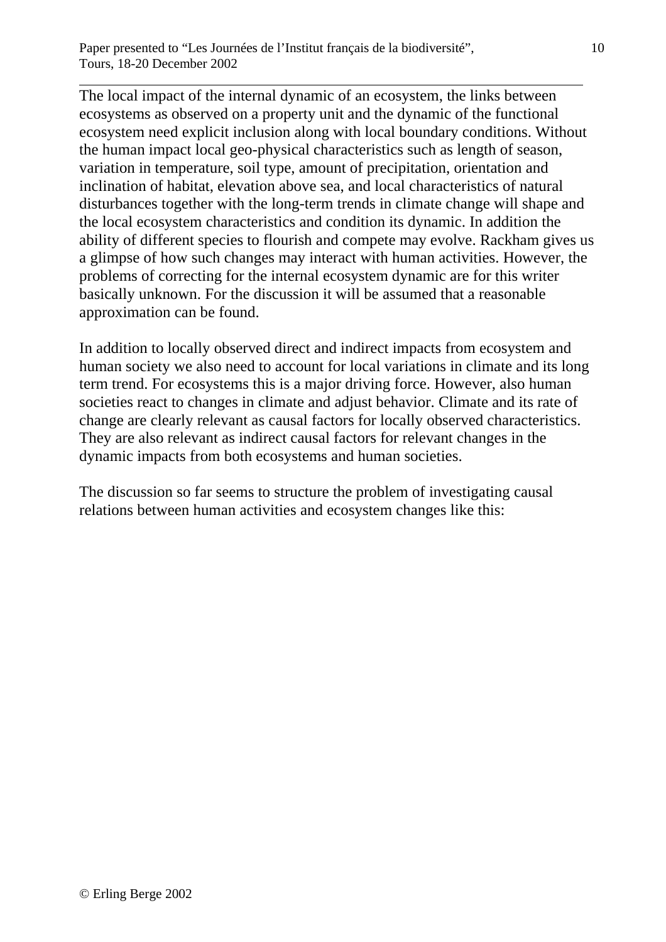The local impact of the internal dynamic of an ecosystem, the links between ecosystems as observed on a property unit and the dynamic of the functional ecosystem need explicit inclusion along with local boundary conditions. Without the human impact local geo-physical characteristics such as length of season, variation in temperature, soil type, amount of precipitation, orientation and inclination of habitat, elevation above sea, and local characteristics of natural disturbances together with the long-term trends in climate change will shape and the local ecosystem characteristics and condition its dynamic. In addition the ability of different species to flourish and compete may evolve. Rackham gives us a glimpse of how such changes may interact with human activities. However, the problems of correcting for the internal ecosystem dynamic are for this writer basically unknown. For the discussion it will be assumed that a reasonable approximation can be found.

In addition to locally observed direct and indirect impacts from ecosystem and human society we also need to account for local variations in climate and its long term trend. For ecosystems this is a major driving force. However, also human societies react to changes in climate and adjust behavior. Climate and its rate of change are clearly relevant as causal factors for locally observed characteristics. They are also relevant as indirect causal factors for relevant changes in the dynamic impacts from both ecosystems and human societies.

The discussion so far seems to structure the problem of investigating causal relations between human activities and ecosystem changes like this: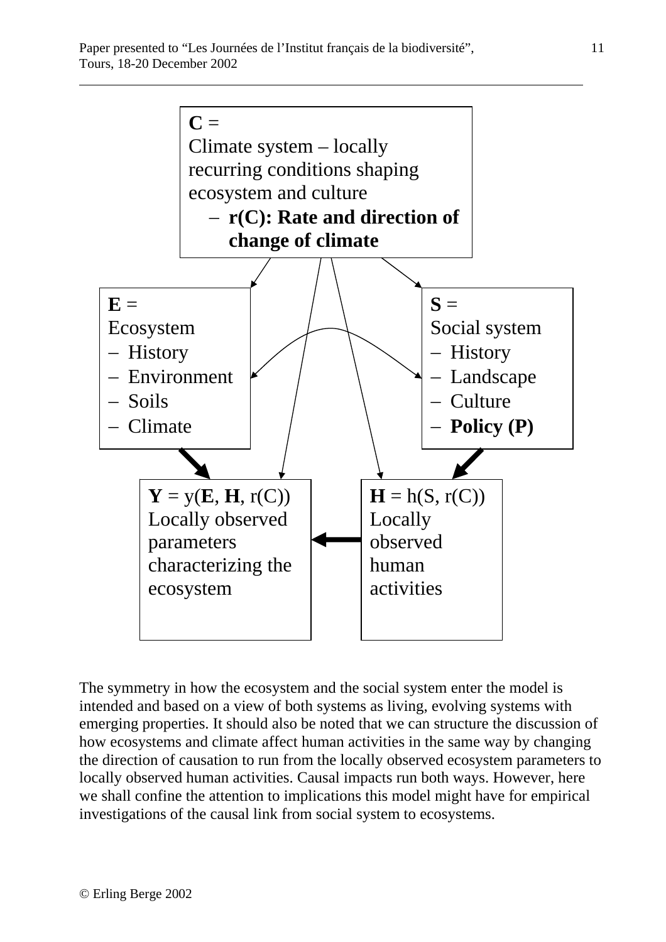

The symmetry in how the ecosystem and the social system enter the model is intended and based on a view of both systems as living, evolving systems with emerging properties. It should also be noted that we can structure the discussion of how ecosystems and climate affect human activities in the same way by changing the direction of causation to run from the locally observed ecosystem parameters to locally observed human activities. Causal impacts run both ways. However, here we shall confine the attention to implications this model might have for empirical investigations of the causal link from social system to ecosystems.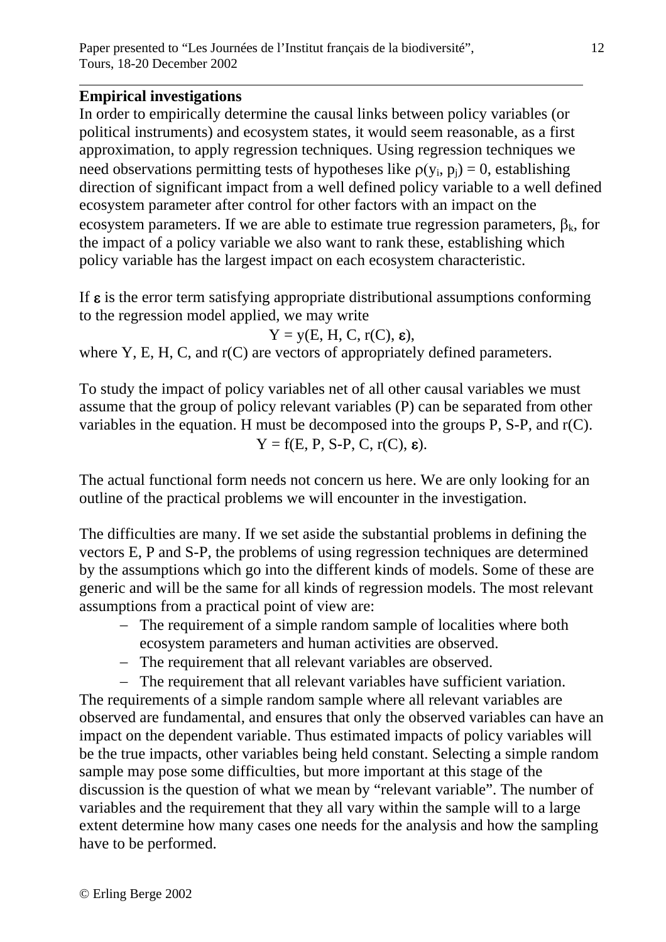# **Empirical investigations**

 $\overline{a}$ 

In order to empirically determine the causal links between policy variables (or political instruments) and ecosystem states, it would seem reasonable, as a first approximation, to apply regression techniques. Using regression techniques we need observations permitting tests of hypotheses like  $\rho(y_i, p_i) = 0$ , establishing direction of significant impact from a well defined policy variable to a well defined ecosystem parameter after control for other factors with an impact on the ecosystem parameters. If we are able to estimate true regression parameters,  $\beta_k$ , for the impact of a policy variable we also want to rank these, establishing which policy variable has the largest impact on each ecosystem characteristic.

If  $\varepsilon$  is the error term satisfying appropriate distributional assumptions conforming to the regression model applied, we may write

$$
Y = y(E, H, C, r(C), \varepsilon),
$$

where Y, E, H, C, and r(C) are vectors of appropriately defined parameters.

To study the impact of policy variables net of all other causal variables we must assume that the group of policy relevant variables (P) can be separated from other variables in the equation. H must be decomposed into the groups P, S-P, and r(C).  $Y = f(E, P, S-P, C, r(C), \varepsilon).$ 

The actual functional form needs not concern us here. We are only looking for an outline of the practical problems we will encounter in the investigation.

The difficulties are many. If we set aside the substantial problems in defining the vectors E, P and S-P, the problems of using regression techniques are determined by the assumptions which go into the different kinds of models. Some of these are generic and will be the same for all kinds of regression models. The most relevant assumptions from a practical point of view are:

- − The requirement of a simple random sample of localities where both ecosystem parameters and human activities are observed.
- − The requirement that all relevant variables are observed.
- − The requirement that all relevant variables have sufficient variation.

The requirements of a simple random sample where all relevant variables are observed are fundamental, and ensures that only the observed variables can have an impact on the dependent variable. Thus estimated impacts of policy variables will be the true impacts, other variables being held constant. Selecting a simple random sample may pose some difficulties, but more important at this stage of the discussion is the question of what we mean by "relevant variable". The number of variables and the requirement that they all vary within the sample will to a large extent determine how many cases one needs for the analysis and how the sampling have to be performed.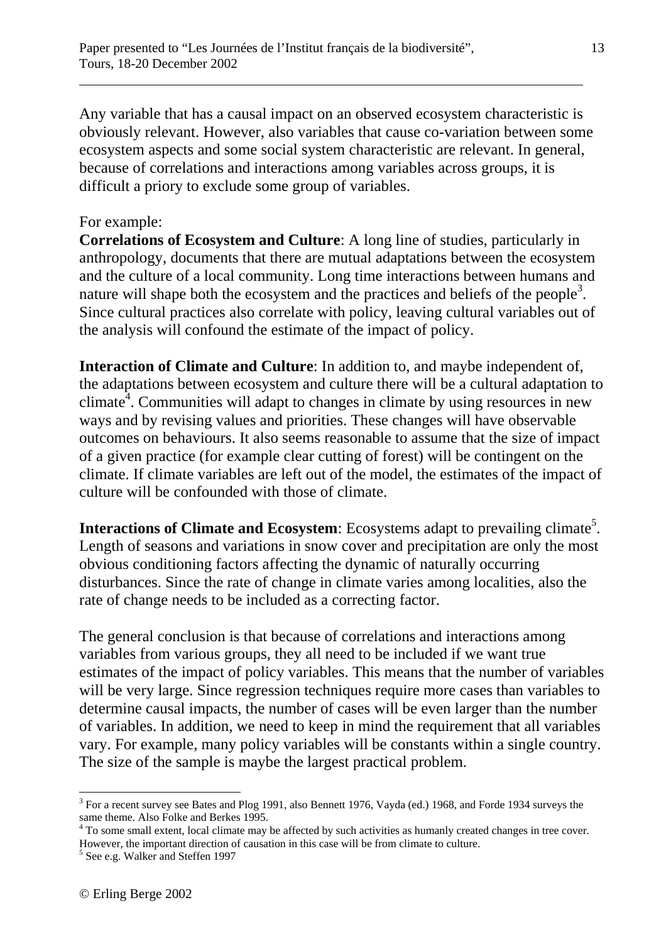Any variable that has a causal impact on an observed ecosystem characteristic is obviously relevant. However, also variables that cause co-variation between some ecosystem aspects and some social system characteristic are relevant. In general, because of correlations and interactions among variables across groups, it is difficult a priory to exclude some group of variables.

#### For example:

 $\overline{a}$ 

**Correlations of Ecosystem and Culture**: A long line of studies, particularly in anthropology, documents that there are mutual adaptations between the ecosystem and the culture of a local community. Long time interactions between humans and nature will shape both the ecosystem and the practices and beliefs of the people<sup>3</sup>. Since cultural practices also correlate with policy, leaving cultural variables out of the analysis will confound the estimate of the impact of policy.

**Interaction of Climate and Culture**: In addition to, and maybe independent of, the adaptations between ecosystem and culture there will be a cultural adaptation to climate<sup>4</sup>. Communities will adapt to changes in climate by using resources in new ways and by revising values and priorities. These changes will have observable outcomes on behaviours. It also seems reasonable to assume that the size of impact of a given practice (for example clear cutting of forest) will be contingent on the climate. If climate variables are left out of the model, the estimates of the impact of culture will be confounded with those of climate.

**Interactions of Climate and Ecosystem**: Ecosystems adapt to prevailing climate<sup>5</sup>. Length of seasons and variations in snow cover and precipitation are only the most obvious conditioning factors affecting the dynamic of naturally occurring disturbances. Since the rate of change in climate varies among localities, also the rate of change needs to be included as a correcting factor.

The general conclusion is that because of correlations and interactions among variables from various groups, they all need to be included if we want true estimates of the impact of policy variables. This means that the number of variables will be very large. Since regression techniques require more cases than variables to determine causal impacts, the number of cases will be even larger than the number of variables. In addition, we need to keep in mind the requirement that all variables vary. For example, many policy variables will be constants within a single country. The size of the sample is maybe the largest practical problem.

<sup>1</sup>  $3$  For a recent survey see Bates and Plog 1991, also Bennett 1976, Vayda (ed.) 1968, and Forde 1934 surveys the same theme. Also Folke and Berkes 1995.

<sup>&</sup>lt;sup>4</sup> To some small extent, local climate may be affected by such activities as humanly created changes in tree cover. However, the important direction of causation in this case will be from climate to culture.

<sup>&</sup>lt;sup>5</sup> See e.g. Walker and Steffen 1997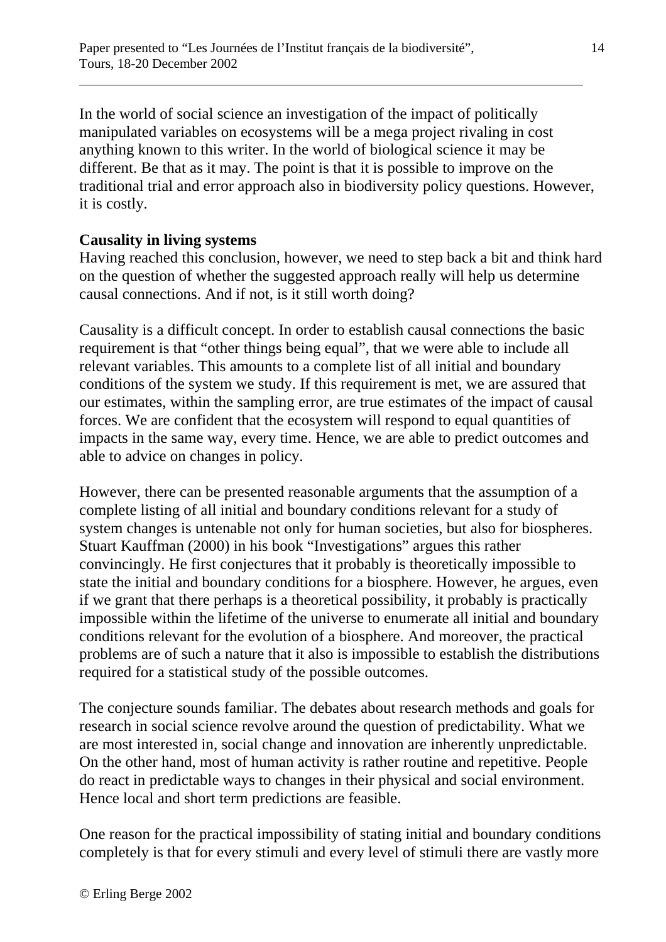In the world of social science an investigation of the impact of politically manipulated variables on ecosystems will be a mega project rivaling in cost anything known to this writer. In the world of biological science it may be different. Be that as it may. The point is that it is possible to improve on the traditional trial and error approach also in biodiversity policy questions. However, it is costly.

# **Causality in living systems**

 $\overline{a}$ 

Having reached this conclusion, however, we need to step back a bit and think hard on the question of whether the suggested approach really will help us determine causal connections. And if not, is it still worth doing?

Causality is a difficult concept. In order to establish causal connections the basic requirement is that "other things being equal", that we were able to include all relevant variables. This amounts to a complete list of all initial and boundary conditions of the system we study. If this requirement is met, we are assured that our estimates, within the sampling error, are true estimates of the impact of causal forces. We are confident that the ecosystem will respond to equal quantities of impacts in the same way, every time. Hence, we are able to predict outcomes and able to advice on changes in policy.

However, there can be presented reasonable arguments that the assumption of a complete listing of all initial and boundary conditions relevant for a study of system changes is untenable not only for human societies, but also for biospheres. Stuart Kauffman (2000) in his book "Investigations" argues this rather convincingly. He first conjectures that it probably is theoretically impossible to state the initial and boundary conditions for a biosphere. However, he argues, even if we grant that there perhaps is a theoretical possibility, it probably is practically impossible within the lifetime of the universe to enumerate all initial and boundary conditions relevant for the evolution of a biosphere. And moreover, the practical problems are of such a nature that it also is impossible to establish the distributions required for a statistical study of the possible outcomes.

The conjecture sounds familiar. The debates about research methods and goals for research in social science revolve around the question of predictability. What we are most interested in, social change and innovation are inherently unpredictable. On the other hand, most of human activity is rather routine and repetitive. People do react in predictable ways to changes in their physical and social environment. Hence local and short term predictions are feasible.

One reason for the practical impossibility of stating initial and boundary conditions completely is that for every stimuli and every level of stimuli there are vastly more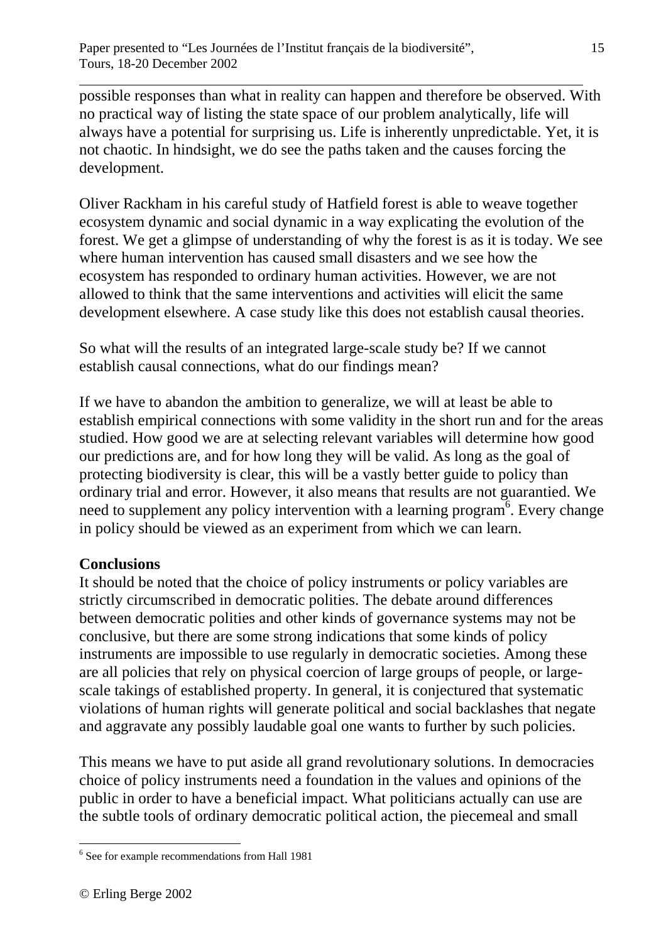possible responses than what in reality can happen and therefore be observed. With no practical way of listing the state space of our problem analytically, life will always have a potential for surprising us. Life is inherently unpredictable. Yet, it is not chaotic. In hindsight, we do see the paths taken and the causes forcing the development.

Oliver Rackham in his careful study of Hatfield forest is able to weave together ecosystem dynamic and social dynamic in a way explicating the evolution of the forest. We get a glimpse of understanding of why the forest is as it is today. We see where human intervention has caused small disasters and we see how the ecosystem has responded to ordinary human activities. However, we are not allowed to think that the same interventions and activities will elicit the same development elsewhere. A case study like this does not establish causal theories.

So what will the results of an integrated large-scale study be? If we cannot establish causal connections, what do our findings mean?

If we have to abandon the ambition to generalize, we will at least be able to establish empirical connections with some validity in the short run and for the areas studied. How good we are at selecting relevant variables will determine how good our predictions are, and for how long they will be valid. As long as the goal of protecting biodiversity is clear, this will be a vastly better guide to policy than ordinary trial and error. However, it also means that results are not guarantied. We need to supplement any policy intervention with a learning program<sup> $6$ </sup>. Every change in policy should be viewed as an experiment from which we can learn.

#### **Conclusions**

 $\overline{a}$ 

It should be noted that the choice of policy instruments or policy variables are strictly circumscribed in democratic polities. The debate around differences between democratic polities and other kinds of governance systems may not be conclusive, but there are some strong indications that some kinds of policy instruments are impossible to use regularly in democratic societies. Among these are all policies that rely on physical coercion of large groups of people, or largescale takings of established property. In general, it is conjectured that systematic violations of human rights will generate political and social backlashes that negate and aggravate any possibly laudable goal one wants to further by such policies.

This means we have to put aside all grand revolutionary solutions. In democracies choice of policy instruments need a foundation in the values and opinions of the public in order to have a beneficial impact. What politicians actually can use are the subtle tools of ordinary democratic political action, the piecemeal and small

1

<sup>6</sup> See for example recommendations from Hall 1981